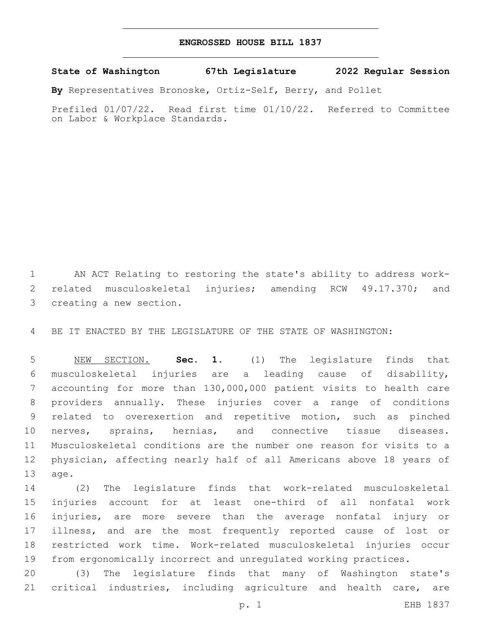## **ENGROSSED HOUSE BILL 1837**

**State of Washington 67th Legislature 2022 Regular Session**

**By** Representatives Bronoske, Ortiz-Self, Berry, and Pollet

Prefiled 01/07/22. Read first time 01/10/22. Referred to Committee on Labor & Workplace Standards.

 AN ACT Relating to restoring the state's ability to address work- related musculoskeletal injuries; amending RCW 49.17.370; and 3 creating a new section.

BE IT ENACTED BY THE LEGISLATURE OF THE STATE OF WASHINGTON:

 NEW SECTION. **Sec. 1.** (1) The legislature finds that musculoskeletal injuries are a leading cause of disability, accounting for more than 130,000,000 patient visits to health care providers annually. These injuries cover a range of conditions related to overexertion and repetitive motion, such as pinched nerves, sprains, hernias, and connective tissue diseases. Musculoskeletal conditions are the number one reason for visits to a physician, affecting nearly half of all Americans above 18 years of age.

 (2) The legislature finds that work-related musculoskeletal injuries account for at least one-third of all nonfatal work injuries, are more severe than the average nonfatal injury or illness, and are the most frequently reported cause of lost or restricted work time. Work-related musculoskeletal injuries occur from ergonomically incorrect and unregulated working practices.

 (3) The legislature finds that many of Washington state's critical industries, including agriculture and health care, are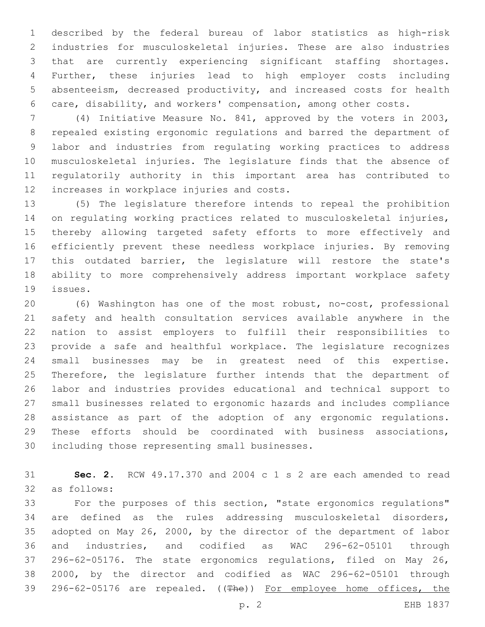described by the federal bureau of labor statistics as high-risk industries for musculoskeletal injuries. These are also industries that are currently experiencing significant staffing shortages. Further, these injuries lead to high employer costs including absenteeism, decreased productivity, and increased costs for health care, disability, and workers' compensation, among other costs.

 (4) Initiative Measure No. 841, approved by the voters in 2003, repealed existing ergonomic regulations and barred the department of labor and industries from regulating working practices to address musculoskeletal injuries. The legislature finds that the absence of regulatorily authority in this important area has contributed to 12 increases in workplace injuries and costs.

 (5) The legislature therefore intends to repeal the prohibition on regulating working practices related to musculoskeletal injuries, thereby allowing targeted safety efforts to more effectively and efficiently prevent these needless workplace injuries. By removing this outdated barrier, the legislature will restore the state's ability to more comprehensively address important workplace safety 19 issues.

 (6) Washington has one of the most robust, no-cost, professional safety and health consultation services available anywhere in the nation to assist employers to fulfill their responsibilities to provide a safe and healthful workplace. The legislature recognizes small businesses may be in greatest need of this expertise. Therefore, the legislature further intends that the department of labor and industries provides educational and technical support to small businesses related to ergonomic hazards and includes compliance assistance as part of the adoption of any ergonomic regulations. These efforts should be coordinated with business associations, 30 including those representing small businesses.

 **Sec. 2.** RCW 49.17.370 and 2004 c 1 s 2 are each amended to read 32 as follows:

 For the purposes of this section, "state ergonomics regulations" are defined as the rules addressing musculoskeletal disorders, adopted on May 26, 2000, by the director of the department of labor and industries, and codified as WAC 296-62-05101 through 296-62-05176. The state ergonomics regulations, filed on May 26, 2000, by the director and codified as WAC 296-62-05101 through 39 296-62-05176 are repealed. ((The)) For employee home offices, the